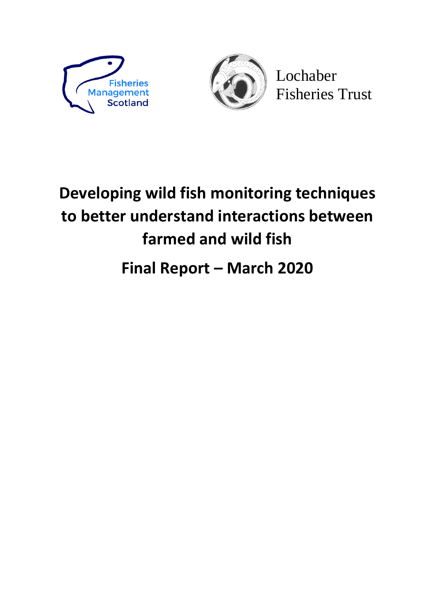



Lochaber Fisheries Trust

# **Developing wild fish monitoring techniques to better understand interactions between farmed and wild fish**

# **Final Report – March 2020**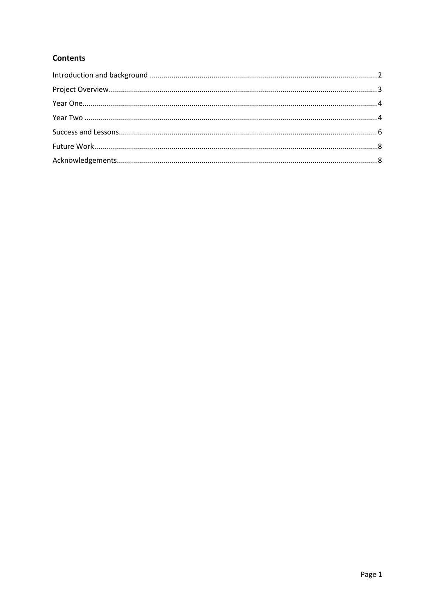# **Contents**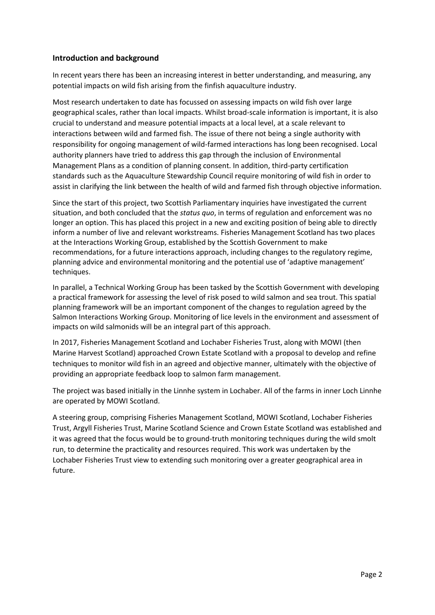#### <span id="page-2-0"></span>**Introduction and background**

In recent years there has been an increasing interest in better understanding, and measuring, any potential impacts on wild fish arising from the finfish aquaculture industry.

Most research undertaken to date has focussed on assessing impacts on wild fish over large geographical scales, rather than local impacts. Whilst broad-scale information is important, it is also crucial to understand and measure potential impacts at a local level, at a scale relevant to interactions between wild and farmed fish. The issue of there not being a single authority with responsibility for ongoing management of wild-farmed interactions has long been recognised. Local authority planners have tried to address this gap through the inclusion of Environmental Management Plans as a condition of planning consent. In addition, third-party certification standards such as the Aquaculture Stewardship Council require monitoring of wild fish in order to assist in clarifying the link between the health of wild and farmed fish through objective information.

Since the start of this project, two Scottish Parliamentary inquiries have investigated the current situation, and both concluded that the *status quo*, in terms of regulation and enforcement was no longer an option. This has placed this project in a new and exciting position of being able to directly inform a number of live and relevant workstreams. Fisheries Management Scotland has two places at the Interactions Working Group, established by the Scottish Government to make recommendations, for a future interactions approach, including changes to the regulatory regime, planning advice and environmental monitoring and the potential use of 'adaptive management' techniques.

In parallel, a Technical Working Group has been tasked by the Scottish Government with developing a practical framework for assessing the level of risk posed to wild salmon and sea trout. This spatial planning framework will be an important component of the changes to regulation agreed by the Salmon Interactions Working Group. Monitoring of lice levels in the environment and assessment of impacts on wild salmonids will be an integral part of this approach.

In 2017, Fisheries Management Scotland and Lochaber Fisheries Trust, along with MOWI (then Marine Harvest Scotland) approached Crown Estate Scotland with a proposal to develop and refine techniques to monitor wild fish in an agreed and objective manner, ultimately with the objective of providing an appropriate feedback loop to salmon farm management.

The project was based initially in the Linnhe system in Lochaber. All of the farms in inner Loch Linnhe are operated by MOWI Scotland.

A steering group, comprising Fisheries Management Scotland, MOWI Scotland, Lochaber Fisheries Trust, Argyll Fisheries Trust, Marine Scotland Science and Crown Estate Scotland was established and it was agreed that the focus would be to ground-truth monitoring techniques during the wild smolt run, to determine the practicality and resources required. This work was undertaken by the Lochaber Fisheries Trust view to extending such monitoring over a greater geographical area in future.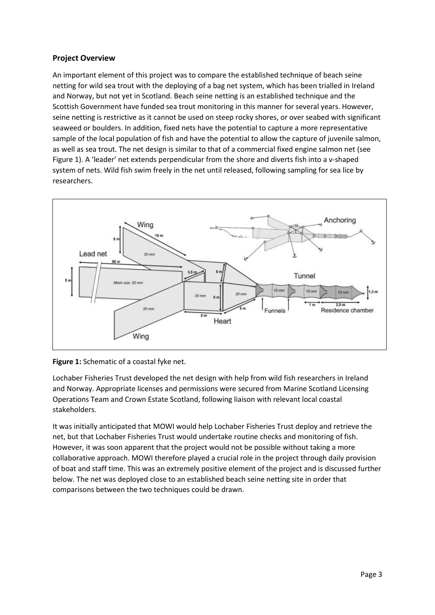## <span id="page-3-0"></span>**Project Overview**

An important element of this project was to compare the established technique of beach seine netting for wild sea trout with the deploying of a bag net system, which has been trialled in Ireland and Norway, but not yet in Scotland. Beach seine netting is an established technique and the Scottish Government have funded sea trout monitoring in this manner for several years. However, seine netting is restrictive as it cannot be used on steep rocky shores, or over seabed with significant seaweed or boulders. In addition, fixed nets have the potential to capture a more representative sample of the local population of fish and have the potential to allow the capture of juvenile salmon, as well as sea trout. The net design is similar to that of a commercial fixed engine salmon net (see Figure 1). A 'leader' net extends perpendicular from the shore and diverts fish into a v-shaped system of nets. Wild fish swim freely in the net until released, following sampling for sea lice by researchers.





Lochaber Fisheries Trust developed the net design with help from wild fish researchers in Ireland and Norway. Appropriate licenses and permissions were secured from Marine Scotland Licensing Operations Team and Crown Estate Scotland, following liaison with relevant local coastal stakeholders.

It was initially anticipated that MOWI would help Lochaber Fisheries Trust deploy and retrieve the net, but that Lochaber Fisheries Trust would undertake routine checks and monitoring of fish. However, it was soon apparent that the project would not be possible without taking a more collaborative approach. MOWI therefore played a crucial role in the project through daily provision of boat and staff time. This was an extremely positive element of the project and is discussed further below. The net was deployed close to an established beach seine netting site in order that comparisons between the two techniques could be drawn.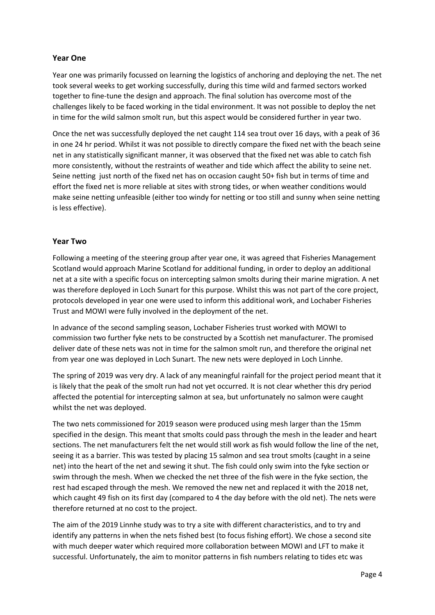# <span id="page-4-0"></span>**Year One**

Year one was primarily focussed on learning the logistics of anchoring and deploying the net. The net took several weeks to get working successfully, during this time wild and farmed sectors worked together to fine-tune the design and approach. The final solution has overcome most of the challenges likely to be faced working in the tidal environment. It was not possible to deploy the net in time for the wild salmon smolt run, but this aspect would be considered further in year two.

Once the net was successfully deployed the net caught 114 sea trout over 16 days, with a peak of 36 in one 24 hr period. Whilst it was not possible to directly compare the fixed net with the beach seine net in any statistically significant manner, it was observed that the fixed net was able to catch fish more consistently, without the restraints of weather and tide which affect the ability to seine net. Seine netting just north of the fixed net has on occasion caught 50+ fish but in terms of time and effort the fixed net is more reliable at sites with strong tides, or when weather conditions would make seine netting unfeasible (either too windy for netting or too still and sunny when seine netting is less effective).

#### <span id="page-4-1"></span>**Year Two**

Following a meeting of the steering group after year one, it was agreed that Fisheries Management Scotland would approach Marine Scotland for additional funding, in order to deploy an additional net at a site with a specific focus on intercepting salmon smolts during their marine migration. A net was therefore deployed in Loch Sunart for this purpose. Whilst this was not part of the core project, protocols developed in year one were used to inform this additional work, and Lochaber Fisheries Trust and MOWI were fully involved in the deployment of the net.

In advance of the second sampling season, Lochaber Fisheries trust worked with MOWI to commission two further fyke nets to be constructed by a Scottish net manufacturer. The promised deliver date of these nets was not in time for the salmon smolt run, and therefore the original net from year one was deployed in Loch Sunart. The new nets were deployed in Loch Linnhe.

The spring of 2019 was very dry. A lack of any meaningful rainfall for the project period meant that it is likely that the peak of the smolt run had not yet occurred. It is not clear whether this dry period affected the potential for intercepting salmon at sea, but unfortunately no salmon were caught whilst the net was deployed.

The two nets commissioned for 2019 season were produced using mesh larger than the 15mm specified in the design. This meant that smolts could pass through the mesh in the leader and heart sections. The net manufacturers felt the net would still work as fish would follow the line of the net, seeing it as a barrier. This was tested by placing 15 salmon and sea trout smolts (caught in a seine net) into the heart of the net and sewing it shut. The fish could only swim into the fyke section or swim through the mesh. When we checked the net three of the fish were in the fyke section, the rest had escaped through the mesh. We removed the new net and replaced it with the 2018 net, which caught 49 fish on its first day (compared to 4 the day before with the old net). The nets were therefore returned at no cost to the project.

The aim of the 2019 Linnhe study was to try a site with different characteristics, and to try and identify any patterns in when the nets fished best (to focus fishing effort). We chose a second site with much deeper water which required more collaboration between MOWI and LFT to make it successful. Unfortunately, the aim to monitor patterns in fish numbers relating to tides etc was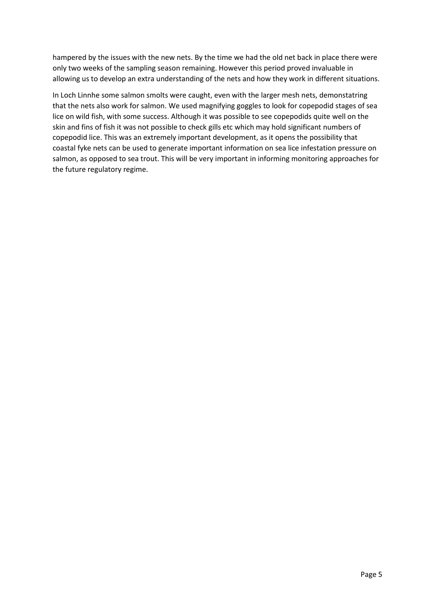hampered by the issues with the new nets. By the time we had the old net back in place there were only two weeks of the sampling season remaining. However this period proved invaluable in allowing us to develop an extra understanding of the nets and how they work in different situations.

In Loch Linnhe some salmon smolts were caught, even with the larger mesh nets, demonstatring that the nets also work for salmon. We used magnifying goggles to look for copepodid stages of sea lice on wild fish, with some success. Although it was possible to see copepodids quite well on the skin and fins of fish it was not possible to check gills etc which may hold significant numbers of copepodid lice. This was an extremely important development, as it opens the possibility that coastal fyke nets can be used to generate important information on sea lice infestation pressure on salmon, as opposed to sea trout. This will be very important in informing monitoring approaches for the future regulatory regime.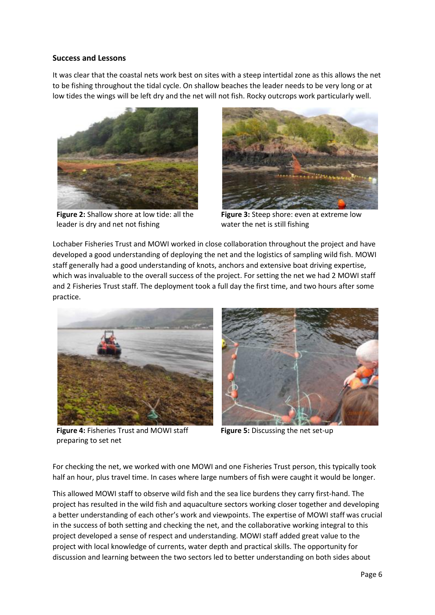#### <span id="page-6-0"></span>**Success and Lessons**

It was clear that the coastal nets work best on sites with a steep intertidal zone as this allows the net to be fishing throughout the tidal cycle. On shallow beaches the leader needs to be very long or at low tides the wings will be left dry and the net will not fish. Rocky outcrops work particularly well.



**Figure 2:** Shallow shore at low tide: all the leader is dry and net not fishing



**Figure 3:** Steep shore: even at extreme low water the net is still fishing

Lochaber Fisheries Trust and MOWI worked in close collaboration throughout the project and have developed a good understanding of deploying the net and the logistics of sampling wild fish. MOWI staff generally had a good understanding of knots, anchors and extensive boat driving expertise, which was invaluable to the overall success of the project. For setting the net we had 2 MOWI staff and 2 Fisheries Trust staff. The deployment took a full day the first time, and two hours after some practice.



**Figure 4:** Fisheries Trust and MOWI staff preparing to set net



**Figure 5:** Discussing the net set-up

For checking the net, we worked with one MOWI and one Fisheries Trust person, this typically took half an hour, plus travel time. In cases where large numbers of fish were caught it would be longer.

This allowed MOWI staff to observe wild fish and the sea lice burdens they carry first-hand. The project has resulted in the wild fish and aquaculture sectors working closer together and developing a better understanding of each other's work and viewpoints. The expertise of MOWI staff was crucial in the success of both setting and checking the net, and the collaborative working integral to this project developed a sense of respect and understanding. MOWI staff added great value to the project with local knowledge of currents, water depth and practical skills. The opportunity for discussion and learning between the two sectors led to better understanding on both sides about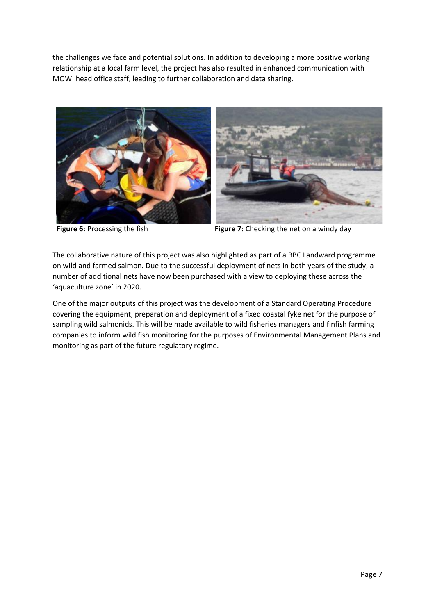the challenges we face and potential solutions. In addition to developing a more positive working relationship at a local farm level, the project has also resulted in enhanced communication with MOWI head office staff, leading to further collaboration and data sharing.





**Figure 6:** Processing the fish **Figure 7:** Checking the net on a windy day

The collaborative nature of this project was also highlighted as part of a BBC Landward programme on wild and farmed salmon. Due to the successful deployment of nets in both years of the study, a number of additional nets have now been purchased with a view to deploying these across the 'aquaculture zone' in 2020.

One of the major outputs of this project was the development of a Standard Operating Procedure covering the equipment, preparation and deployment of a fixed coastal fyke net for the purpose of sampling wild salmonids. This will be made available to wild fisheries managers and finfish farming companies to inform wild fish monitoring for the purposes of Environmental Management Plans and monitoring as part of the future regulatory regime.